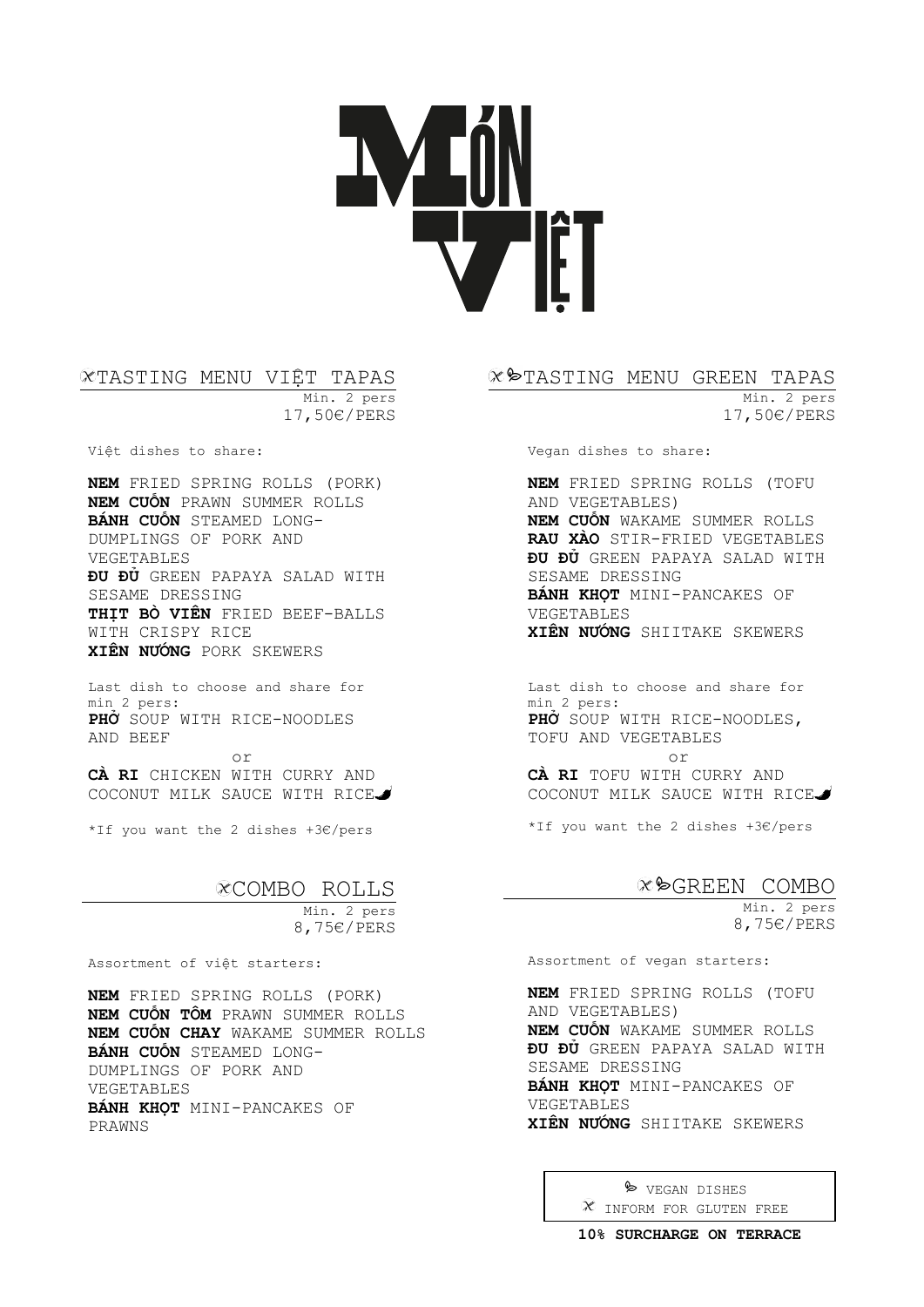#### TASTING MENU VIỆT TAPAS Min. 2 pers 17,50€/PERS

Việt dishes to share:

**NEM** FRIED SPRING ROLLS (PORK) **NEM CUỐN** PRAWN SUMMER ROLLS **BÁNH CUỐN** STEAMED LONG-DUMPLINGS OF PORK AND VEGETABLES **ĐU ĐỦ** GREEN PAPAYA SALAD WITH SESAME DRESSING **THỊT BÒ VIÊN** FRIED BEEF-BALLS WITH CRISPY RICE **XIÊN NƯỚNG** PORK SKEWERS

Last dish to choose and share for min 2 pers: **PHỞ** SOUP WITH RICE-NOODLES AND BEEF

or **CÀ RI** CHICKEN WITH CURRY AND COCONUT MILK SAUCE WITH RICE

\*If you want the 2 dishes +3€/pers

# COMBO ROLLS

Min. 2 pers 8,75€/PERS

Assortment of việt starters:

**NEM** FRIED SPRING ROLLS (PORK) **NEM CUỐN TÔM** PRAWN SUMMER ROLLS **NEM CUỐN CHAY** WAKAME SUMMER ROLLS **BÁNH CUỐN** STEAMED LONG-DUMPLINGS OF PORK AND VEGETABLES **BÁNH KHỌT** MINI-PANCAKES OF PRAWNS

#### $\mathscr{X}$  $\blacktriangleright$ TASTING MENU GREEN TAPAS

Min. 2 pers 17,50€/PERS

Vegan dishes to share:

**NEM** FRIED SPRING ROLLS (TOFU AND VEGETABLES) **NEM CUỐN** WAKAME SUMMER ROLLS **RAU XÀO** STIR-FRIED VEGETABLES **ĐU ĐỦ** GREEN PAPAYA SALAD WITH SESAME DRESSING **BÁNH KHỌT** MINI-PANCAKES OF VEGETABLES **XIÊN NƯỚNG** SHIITAKE SKEWERS

Last dish to choose and share for min 2 pers: **PHỞ** SOUP WITH RICE-NOODLES, TOFU AND VEGETABLES

or **CÀ RI** TOFU WITH CURRY AND COCONUT MILK SAUCE WITH RICE

\*If you want the 2 dishes +3€/pers

# GREEN COMBO

Min. 2 pers 8,75€/PERS

Assortment of vegan starters:

**NEM** FRIED SPRING ROLLS (TOFU AND VEGETABLES) **NEM CUỐN** WAKAME SUMMER ROLLS **ĐU ĐỦ** GREEN PAPAYA SALAD WITH SESAME DRESSING **BÁNH KHỌT** MINI-PANCAKES OF VEGETABLES **XIÊN NƯỚNG** SHIITAKE SKEWERS

> $\triangleright$  VEGAN DISHES INFORM FOR GLUTEN FREE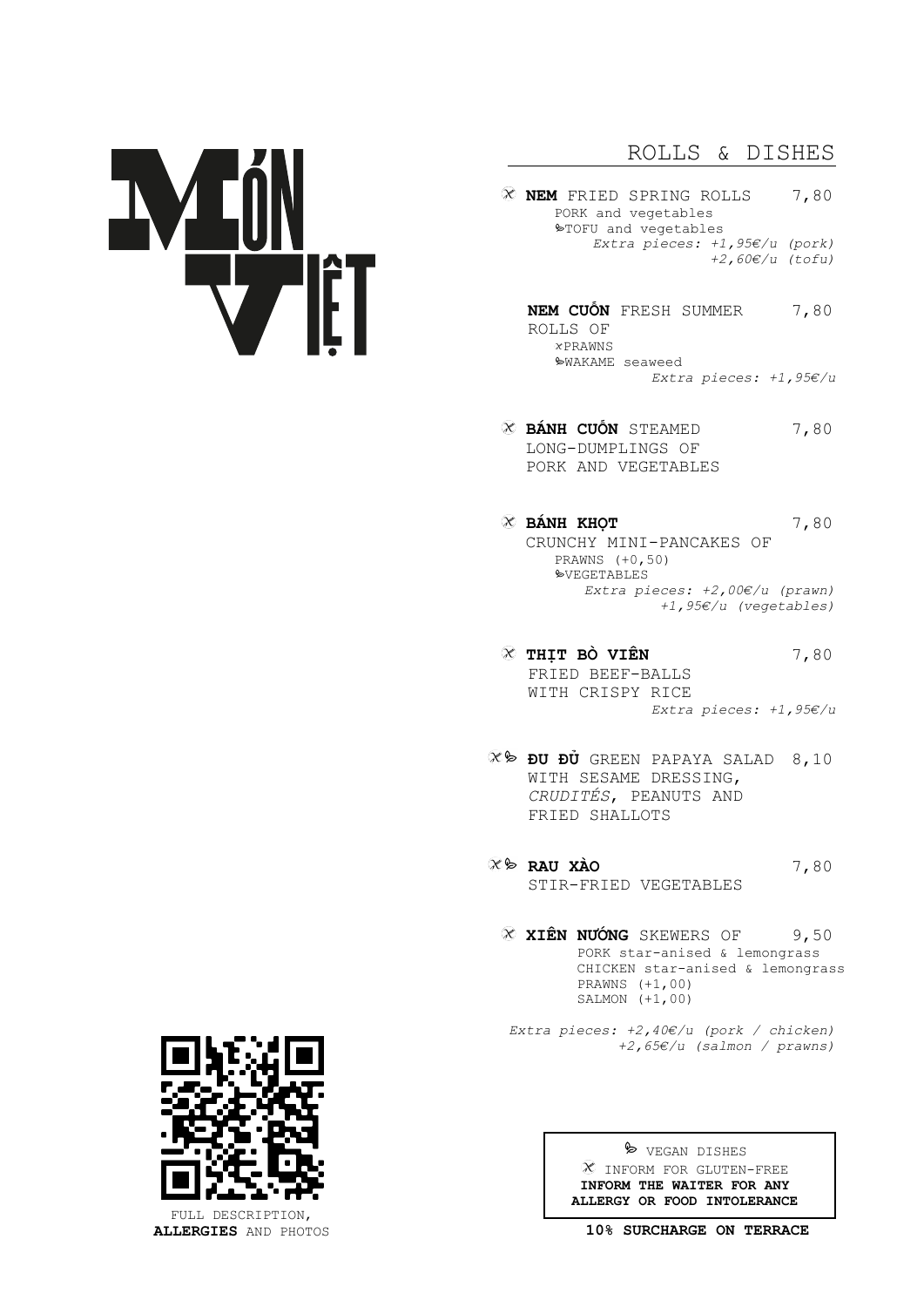# ROLLS & DISHES

- **NEM** FRIED SPRING ROLLS 7,80 PORK and vegetables TOFU and vegetables *Extra pieces: +1,95€/u (pork) +2,60€/u (tofu)* 
	- **NEM CUỐN** FRESH SUMMER 7,80 ROLLS OF  $x$ PRAWNS WAKAME seaweed *Extra pieces: +1,95€/u*
- **BÁNH CUỐN** STEAMED 7,80 LONG-DUMPLINGS OF PORK AND VEGETABLES
- **EX** BÁNH KHOT **T** 7,80 CRUNCHY MINI-PANCAKES OF PRAWNS (+0,50) **SVEGETABLES** *Extra pieces: +2,00€/u (prawn) +1,95€/u (vegetables)*
- **THỊT BÒ VIÊN** 7,80 FRIED BEEF-BALLS WITH CRISPY RICE *Extra pieces: +1,95€/u*
- **ĐU ĐỦ** GREEN PAPAYA SALAD 8,10 WITH SESAME DRESSING, *CRUDITÉS*, PEANUTS AND FRIED SHALLOTS
- **RAU XÀO** 7,80 STIR-FRIED VEGETABLES
	- **XIÊN NƯỚNG** SKEWERS OF 9,50 PORK star-anised & lemongrass CHICKEN star-anised & lemongrass PRAWNS (+1,00) SALMON  $(+1,00)$
	- *Extra pieces: +2,40€/u (pork / chicken) +2,65€/u (salmon / prawns)*



FULL DESCRIPTION, **ALLERGIES** AND PHOTOS

 $\triangleright$  VEGAN DISHES INFORM FOR GLUTEN-FREE **INFORM THE WAITER FOR ANY ALLERGY OR FOOD INTOLERANCE**

**10% SURCHARGE ON TERRACE**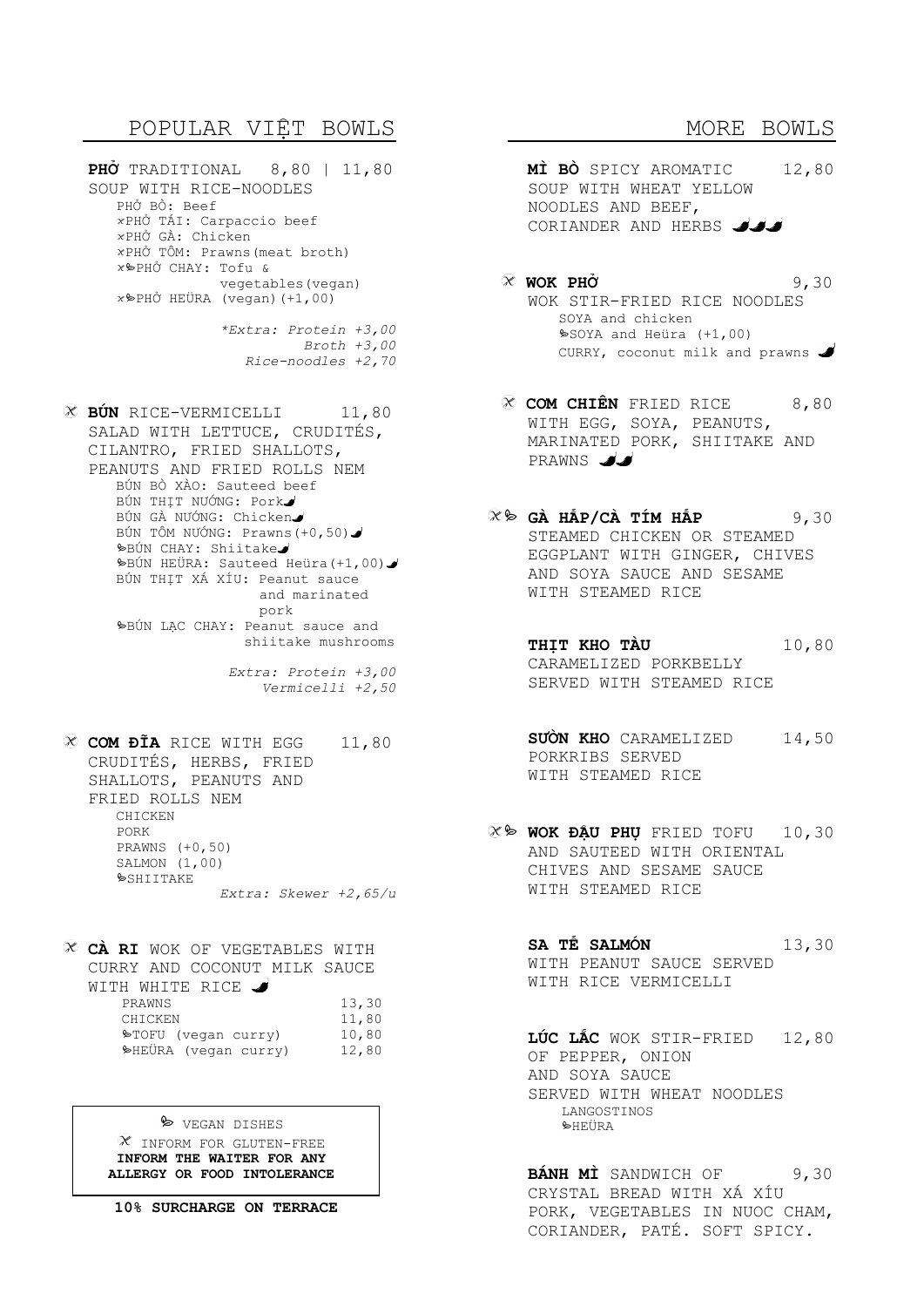# POPULAR VIỆT BOWLS

**PHỞ** TRADITIONAL 8,80 | 11,80 SOUP WITH RICE-NOODLES PHỞ BÒ: Beef PHỞ TÁI: Carpaccio beef PHỞ GÀ: Chicken PHỞ TÔM: Prawns(meat broth) PHỞ CHAY: Tofu & vegetables(vegan)  $\Re$ PHỞ HEÜRA (vegan)(+1,00)

> *\*Extra: Protein +3,00 Broth +3,00 Rice-noodles +2,70*

**EÚN** RICE-VERMICELLI 11,80 SALAD WITH LETTUCE, CRUDITÉS, CILANTRO, FRIED SHALLOTS, PEANUTS AND FRIED ROLLS NEM BÚN BÒ XÀO: Sauteed beef BÚN THỊT NƯỚNG: Pork BÚN GÀ NƯỚNG: Chicken BÚN TÔM NƯỚNG: Prawns(+0,50) BÚN CHAY: Shiitake BÚN HEÜRA: Sauteed Heüra(+1,00) BÚN THỊT XÁ XÍU: Peanut sauce and marinated pork bBÚN LAC CHAY: Peanut sauce and shiitake mushrooms

*Extra: Protein +3,00 Vermicelli +2,50* 

**CƠM ĐĨA** RICE WITH EGG 11,80 CRUDITÉS, HERBS, FRIED SHALLOTS, PEANUTS AND FRIED ROLLS NEM CHICKEN PORK PRAWNS (+0,50) SALMON (1,00)  $\&$ SHITTAKE

*Extra: Skewer +2,65/u* 

**CÀ RI** WOK OF VEGETABLES WITH CURRY AND COCONUT MILK SAUCE WITH WHITE RICE  $\bigcup_{P}$  13,30 CHICKEN 11,80  $\blacktriangleright$ TOFU (vegan curry) 10,80 HEÜRA (vegan curry) 12,80

> $\triangleright$  VEGAN DISHES  $X$  inform for GLUTEN-FREE **INFORM THE WAITER FOR ANY ALLERGY OR FOOD INTOLERANCE**

**10% SURCHARGE ON TERRACE** 

- MORE BOWLS
- **MÌ BÒ** SPICY AROMATIC 12,80 SOUP WITH WHEAT YELLOW NOODLES AND BEEF, CORIANDER AND HERBS
- **WOK PHỞ** 9,30 WOK STIR-FRIED RICE NOODLES SOYA and chicken SOYA and Heüra (+1,00) CURRY, coconut milk and prawns
- **CƠM CHIÊN** FRIED RICE 8,80 WITH EGG, SOYA, PEANUTS, MARINATED PORK, SHIITAKE AND PRAWNS JJ
- **GÀ HẤP/CÀ TÍM HẤP** 9,30 STEAMED CHICKEN OR STEAMED EGGPLANT WITH GINGER, CHIVES AND SOYA SAUCE AND SESAME WITH STEAMED RICE
	- **THỊT KHO TÀU** 10,80 CARAMELIZED PORKBELLY SERVED WITH STEAMED RICE
		- **SƯỜN KHO** CARAMELIZED 14,50 PORKRIBS SERVED WITH STEAMED RICE
	- **WOK ĐẬU PHỤ** FRIED TOFU 10,30 AND SAUTEED WITH ORIENTAL CHIVES AND SESAME SAUCE WITH STEAMED RICE

**SA TẾ SALMÓN** 13,30 WITH PEANUT SAUCE SERVED WITH RICE VERMICELLI

**LÚC LẮC** WOK STIR-FRIED 12,80 OF PEPPER, ONION AND SOYA SAUCE SERVED WITH WHEAT NOODLES LANGOSTINOS  $\blacktriangleright$ HEÜRA

**BÁNH MÌ** SANDWICH OF 9,30 CRYSTAL BREAD WITH XÁ XÍU PORK, VEGETABLES IN NUOC CHAM, CORIANDER, PATÉ. SOFT SPICY.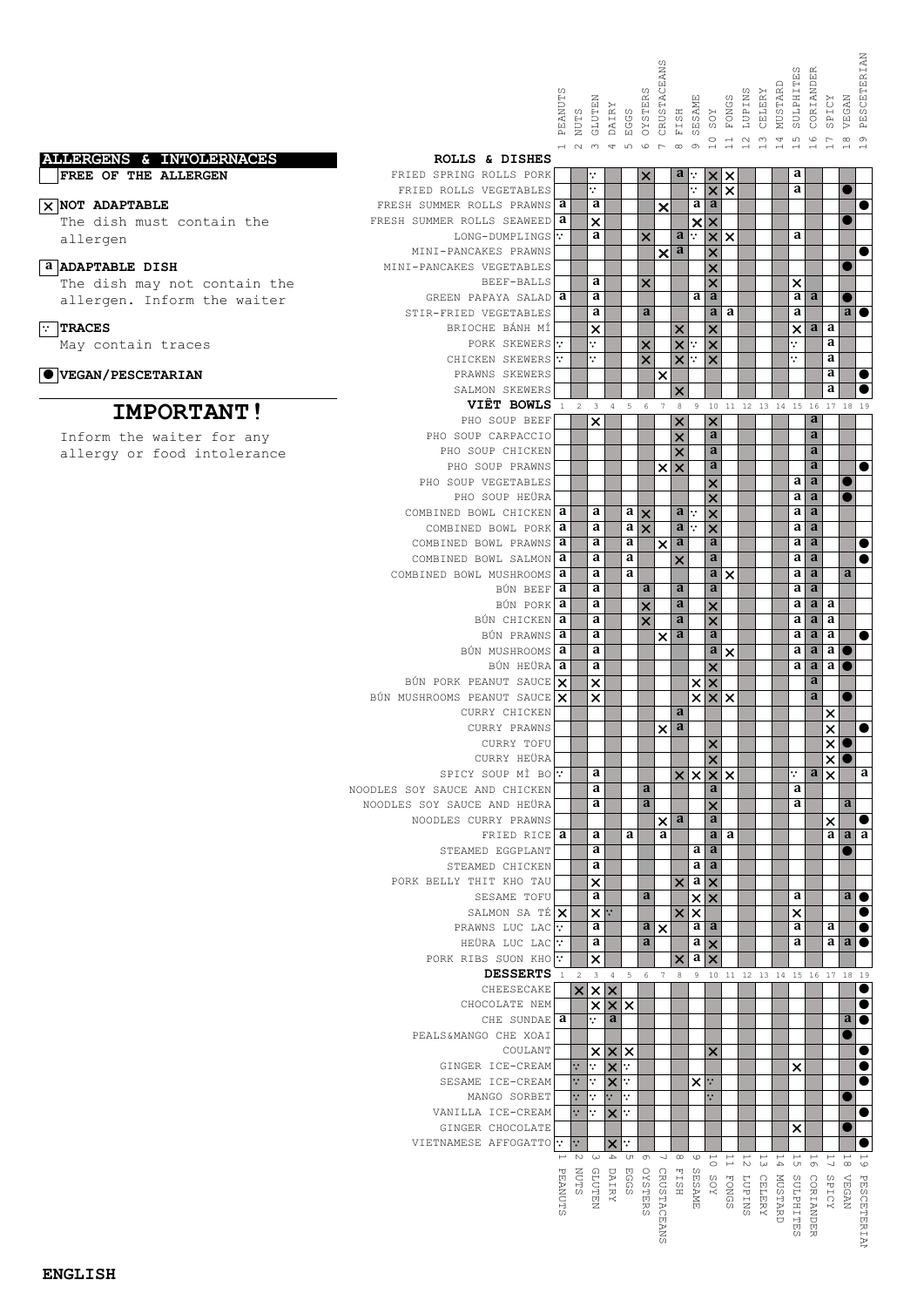|                              |                                                   |                |                                  |                                                   |                |                                                        | CRUSTACEANS               |                                                            |                                                             |                                                                      |                                    |                                      | SULPHITE<br>MUSTARD           | w<br>CORIANDER                                  |                                           | PESCETERIAN                                   |  |
|------------------------------|---------------------------------------------------|----------------|----------------------------------|---------------------------------------------------|----------------|--------------------------------------------------------|---------------------------|------------------------------------------------------------|-------------------------------------------------------------|----------------------------------------------------------------------|------------------------------------|--------------------------------------|-------------------------------|-------------------------------------------------|-------------------------------------------|-----------------------------------------------|--|
|                              |                                                   | PEANUTS        | NUTS                             | GLUTEN<br>DAIRY                                   | EGGS           | OYSTERS                                                |                           | FISH                                                       | SESAME<br>$_{\rm{XOS}}$                                     | FONGS                                                                | LUPINS                             | CELERY                               |                               |                                                 | SPICY                                     | VEGAN                                         |  |
| ALLERGENS & INTOLERNACES     | ROLLS & DISHES                                    | $\overline{a}$ | $N$ $\omega$                     | 4                                                 | LO.            | $\circ$                                                | $\Gamma$                  | $\infty$                                                   | $\circ$<br>$\sigma$<br>$\overline{\phantom{0}}$             | $\overline{\square}$                                                 | $\sim$<br>$\overline{\phantom{0}}$ | $\infty$<br>$\overline{\phantom{0}}$ | 4<br>$\overline{\phantom{0}}$ | $\mathfrak{U}$<br>$\circ$                       | $\overline{ }$                            | $\infty$<br>$\sigma$                          |  |
| FREE OF THE ALLERGEN         | FRIED SPRING ROLLS PORK<br>FRIED ROLLS VEGETABLES |                |                                  | ٠.<br>٠.                                          |                | ×                                                      |                           | a                                                          | $\boldsymbol{\mathsf{x}}$<br>٠<br>$\boldsymbol{\mathsf{x}}$ | ×<br>$\times$                                                        |                                    |                                      |                               | a<br>a                                          |                                           | $\bullet$                                     |  |
| $\times$ NOT ADAPTABLE       | FRESH SUMMER ROLLS PRAWNS <b>a</b>                |                |                                  | a                                                 |                |                                                        | ×                         |                                                            | a                                                           | a                                                                    |                                    |                                      |                               |                                                 |                                           | 0                                             |  |
| The dish must contain the    | FRESH SUMMER ROLLS SEAWEED                        | a              |                                  | ×                                                 |                |                                                        |                           |                                                            | $\boldsymbol{\mathsf{x}}$<br>$\overline{\mathsf{x}}$        |                                                                      |                                    |                                      |                               |                                                 |                                           | 0                                             |  |
| allergen                     | LONG-DUMPLINGS<br>MINI-PANCAKES PRAWNS            |                |                                  | a                                                 |                | $\boldsymbol{\mathsf{x}}$                              | $\boldsymbol{\mathsf{x}}$ | a<br>$\ddot{\cdot}$<br>a                                   | $\times$<br>$\times$                                        | $\times$                                                             |                                    |                                      |                               | a                                               |                                           | $\bullet$                                     |  |
| <b>a ADAPTABLE DISH</b>      | MINI-PANCAKES VEGETABLES                          |                |                                  |                                                   |                |                                                        |                           |                                                            | ×                                                           |                                                                      |                                    |                                      |                               |                                                 |                                           | $\bullet$                                     |  |
| The dish may not contain the | BEEF-BALLS                                        | a              |                                  | a<br>a                                            |                | $\times$                                               |                           |                                                            | a                                                           | ×<br>a                                                               |                                    |                                      |                               | $\times$<br>a<br>a                              |                                           |                                               |  |
| allergen. Inform the waiter  | GREEN PAPAYA SALAD<br>STIR-FRIED VEGETABLES       |                |                                  | a                                                 |                | a                                                      |                           |                                                            |                                                             | $\mathbf a$<br>a                                                     |                                    |                                      |                               | a                                               |                                           | ●<br>$\overline{a}$ $\bullet$                 |  |
| $\boxed{\cdot}$ TRACES       | BRIOCHE BÁNH MÍ                                   |                |                                  | ×                                                 |                |                                                        |                           | $\times$                                                   | $\overline{\mathsf{x}}$                                     |                                                                      |                                    |                                      |                               | $\times$<br>a                                   | a                                         |                                               |  |
| May contain traces           | PORK SKEWERS<br>CHICKEN SKEWERS                   | ∵.             |                                  | ٠.<br>٠.                                          |                | ×<br>$\overline{\mathsf{x}}$                           |                           | $\boldsymbol{\mathsf{x}}$<br>$\overline{\mathbf{x}}$<br>٠. | $\overline{\mathbf{x}}$                                     |                                                                      |                                    |                                      | ٠.<br>٠.                      |                                                 | a<br>a                                    |                                               |  |
| <b>OVEGAN/PESCETARIAN</b>    | PRAWNS SKEWERS                                    |                |                                  |                                                   |                |                                                        | ×                         |                                                            | $\times$                                                    |                                                                      |                                    |                                      |                               |                                                 | a                                         | $\bullet$                                     |  |
|                              | SALMON SKEWERS                                    |                |                                  |                                                   |                |                                                        |                           |                                                            |                                                             |                                                                      |                                    |                                      |                               | a                                               |                                           | 0                                             |  |
| <b>IMPORTANT!</b>            | VIÊT BOWLS<br>PHO SOUP BEEF                       | $\,1\,$        | $\sqrt{2}$                       | $\mathsf 3$<br>$\overline{4}$<br>$\times$         | $\overline{5}$ | $\epsilon$                                             | $7\phantom{.0}$           | $^{\rm 8}$<br>$\boldsymbol{\mathsf{x}}$                    | 9<br>$\boldsymbol{\mathsf{x}}$                              |                                                                      |                                    |                                      |                               | $\mathbf{a}$                                    |                                           | 10 11 12 13 14 15 16 17 18 19                 |  |
| Inform the waiter for any    | PHO SOUP CARPACCIO                                |                |                                  |                                                   |                |                                                        |                           | $\overline{\mathsf{x}}$                                    |                                                             | a                                                                    |                                    |                                      |                               | a                                               |                                           |                                               |  |
| allergy or food intolerance  | PHO SOUP CHICKEN                                  |                |                                  |                                                   |                |                                                        |                           | $\times$                                                   |                                                             | a                                                                    |                                    |                                      |                               | a                                               |                                           |                                               |  |
|                              | PHO SOUP PRAWNS<br>PHO SOUP VEGETABLES            |                |                                  |                                                   |                |                                                        | ×                         | $\boldsymbol{\mathsf{x}}$                                  |                                                             | a                                                                    |                                    |                                      |                               | a<br>a<br>a                                     |                                           | $\bullet$<br>0                                |  |
|                              | PHO SOUP HEURA                                    |                |                                  |                                                   |                |                                                        |                           |                                                            | ×                                                           | ×                                                                    |                                    |                                      |                               | a<br>a                                          |                                           | ●                                             |  |
|                              | COMBINED BOWL CHICKEN <b>a</b>                    |                |                                  | a                                                 | a              | $\overline{\mathsf{x}}$                                |                           | a<br>٠.                                                    | ×                                                           |                                                                      |                                    |                                      |                               | a<br>a                                          |                                           |                                               |  |
|                              | COMBINED BOWL PORK<br>COMBINED BOWL PRAWNS        | a<br>a         |                                  | a<br>a                                            | a<br>a         | $\overline{\mathsf{x}}$                                |                           | a<br>a                                                     | ٠.<br>$\times$                                              | a                                                                    |                                    |                                      |                               | a<br>a<br>a<br>a                                |                                           |                                               |  |
|                              | COMBINED BOWL SALMON                              | a              |                                  | a                                                 | a              |                                                        | ×                         | $\boldsymbol{\mathsf{x}}$                                  |                                                             | a                                                                    |                                    |                                      |                               | a<br>a                                          |                                           | C                                             |  |
|                              | COMBINED BOWL MUSHROOMS                           | a              |                                  | a                                                 | a              |                                                        |                           |                                                            |                                                             | $\mathbf a$<br>$\boldsymbol{\mathsf{x}}$                             |                                    |                                      |                               | a<br>a                                          |                                           | a                                             |  |
|                              | BÚN BEEF<br>BÚN PORK                              | a<br>a         |                                  | a<br>a                                            |                | a                                                      |                           | a<br>a                                                     |                                                             | $\mathbf a$                                                          |                                    |                                      |                               | a<br>$\mathbf{a}$<br>a<br>a                     | a                                         |                                               |  |
|                              | BÚN CHICKEN                                       | a              |                                  | a                                                 |                | $\boldsymbol{\mathsf{x}}$<br>$\boldsymbol{\mathsf{x}}$ |                           | a                                                          | $\times$<br>$\times$                                        |                                                                      |                                    |                                      |                               | a<br>$\mathbf{a}$                               | a                                         |                                               |  |
|                              | BÚN PRAWNS                                        | a              |                                  | a                                                 |                |                                                        | $\times$                  | a                                                          |                                                             | $\mathbf{a}$                                                         |                                    |                                      |                               | a<br>$\mathbf{a}$                               | a                                         | $\bullet$                                     |  |
|                              | BÚN MUSHROOMS<br>BÚN HEÜRA                        | a<br>a         |                                  | a<br>a                                            |                |                                                        |                           |                                                            |                                                             | $\mathbf a$<br>$\times$<br>×                                         |                                    |                                      |                               | a<br>$\mathbf{a}$<br>a<br>a                     | a<br>a                                    |                                               |  |
|                              | BÚN PORK PEANUT SAUCE                             | ΙX             |                                  | ×                                                 |                |                                                        |                           |                                                            | $\vert x \vert$<br>×                                        |                                                                      |                                    |                                      |                               | a                                               |                                           |                                               |  |
|                              | BÚN MUSHROOMS PEANUT SAUCE                        | $\times$       |                                  | ×                                                 |                |                                                        |                           |                                                            | x x                                                         | $\boldsymbol{\mathsf{x}}$                                            |                                    |                                      |                               | a                                               |                                           |                                               |  |
|                              | CURRY CHICKEN<br>CURRY PRAWNS                     |                |                                  |                                                   |                |                                                        | $\boldsymbol{\times}$     | a<br>$\mathbf{a}$                                          |                                                             |                                                                      |                                    |                                      |                               |                                                 | ×<br>$\overline{\mathsf{x}}$              | $\bullet$                                     |  |
|                              | CURRY TOFU                                        |                |                                  |                                                   |                |                                                        |                           |                                                            |                                                             | $\overline{\phantom{a}}$                                             |                                    |                                      |                               |                                                 | $\checkmark$                              |                                               |  |
|                              | CURRY HEÜRA                                       |                |                                  |                                                   |                |                                                        |                           |                                                            | $\times$                                                    |                                                                      |                                    |                                      |                               |                                                 | ×                                         |                                               |  |
|                              | SPICY SOUP MÌ BO<br>NOODLES SOY SAUCE AND CHICKEN |                |                                  | a<br>a                                            |                | a                                                      |                           | $\times$                                                   | $\boldsymbol{\mathsf{x}}$<br>×                              | ×<br>a                                                               |                                    |                                      | ٠.                            | a<br>a                                          | $\times$                                  | a                                             |  |
|                              | NOODLES SOY SAUCE AND HEÜRA                       |                |                                  | a                                                 |                | $\mathbf a$                                            |                           |                                                            | $\times$                                                    |                                                                      |                                    |                                      |                               | a                                               |                                           | $\mathbf a$                                   |  |
|                              | NOODLES CURRY PRAWNS                              |                |                                  |                                                   |                |                                                        | ×                         | a                                                          |                                                             | $\mathbf{a}$                                                         |                                    |                                      |                               |                                                 | ×                                         | ●                                             |  |
|                              | FRIED RICE a<br>STEAMED EGGPLANT                  |                |                                  | a<br>a                                            | a              |                                                        | a                         |                                                            | a                                                           | a<br>a<br>a                                                          |                                    |                                      |                               |                                                 | a                                         | a<br>a                                        |  |
|                              | STEAMED CHICKEN                                   |                |                                  | a                                                 |                |                                                        |                           |                                                            | a                                                           | a                                                                    |                                    |                                      |                               |                                                 |                                           |                                               |  |
|                              | PORK BELLY THIT KHO TAU                           |                |                                  | ×<br>a                                            |                |                                                        |                           | $\times$                                                   | a                                                           | $\boldsymbol{\mathsf{x}}$                                            |                                    |                                      |                               | a                                               |                                           |                                               |  |
|                              | SESAME TOFU<br>SALMON SA TÉ                       | ΙX             |                                  | ×<br>$\ddot{\cdot}$                               |                | a                                                      |                           | $\boldsymbol{\mathsf{x}}$                                  | ×<br>×                                                      | ×                                                                    |                                    |                                      | ×                             |                                                 |                                           | a<br>0                                        |  |
|                              | PRAWNS LUC LAC                                    | $\cdot$        |                                  | a                                                 |                | a                                                      | $\times$                  |                                                            | a                                                           | a                                                                    |                                    |                                      |                               | a                                               | a                                         | $\bullet$                                     |  |
|                              | HEÜRA LUC LAC<br>PORK RIBS SUON KHO               | ∵              |                                  | a                                                 |                | a                                                      |                           |                                                            | a<br>×<br>a                                                 |                                                                      |                                    |                                      |                               | a                                               | a                                         | a<br>$\bullet$                                |  |
|                              | <b>DESSERTS</b>                                   | $\mathbf{1}$   | $\sqrt{2}$                       | ×<br>$\mathsf 3$<br>$\overline{4}$                | $\,$ 5 $\,$    | $\epsilon$                                             | $7\phantom{.0}$           | $^{\rm 8}$                                                 | $\times$<br>9<br>10                                         |                                                                      |                                    |                                      |                               |                                                 |                                           | 11 12 13 14 15 16 17 18 19                    |  |
|                              | CHEESECAKE                                        |                | $\times$                         | $\times$<br>$\boldsymbol{\mathsf{x}}$             |                |                                                        |                           |                                                            |                                                             |                                                                      |                                    |                                      |                               |                                                 |                                           |                                               |  |
|                              | CHOCOLATE NEM<br>CHE SUNDAE                       | a              |                                  | $\times$<br>$\boldsymbol{\mathsf{x}}$<br>÷<br>a   | $\times$       |                                                        |                           |                                                            |                                                             |                                                                      |                                    |                                      |                               |                                                 |                                           | $\bullet$<br>$\mathbf a$<br>$\bullet$         |  |
|                              | PEALS&MANGO CHE XOAI                              |                |                                  |                                                   |                |                                                        |                           |                                                            |                                                             |                                                                      |                                    |                                      |                               |                                                 |                                           |                                               |  |
|                              | COULANT                                           |                |                                  | ×<br>$\times$                                     | $\times$       |                                                        |                           |                                                            |                                                             | ×                                                                    |                                    |                                      |                               |                                                 |                                           | C                                             |  |
|                              | GINGER ICE-CREAM<br>SESAME ICE-CREAM              |                | $\ddot{\cdot}$<br>$\ddot{\cdot}$ | ٠.<br>$\boldsymbol{\mathsf{x}}$<br>٠.<br>$\times$ | ٠.<br>٠.       |                                                        |                           |                                                            | ×<br>٠.                                                     |                                                                      |                                    |                                      |                               | ×                                               |                                           | $\bullet$                                     |  |
|                              | MANGO SORBET                                      |                | $\ddot{\cdot}$                   | $\ddot{\cdot}$<br>٠.                              | ٠.             |                                                        |                           |                                                            | ∵.                                                          |                                                                      |                                    |                                      |                               |                                                 |                                           |                                               |  |
|                              | VANILLA ICE-CREAM                                 |                | $\ddot{\cdot}$                   | $\times$<br>٠.                                    | ۰.             |                                                        |                           |                                                            |                                                             |                                                                      |                                    |                                      |                               |                                                 |                                           | $\bullet$                                     |  |
|                              | GINGER CHOCOLATE<br>VIETNAMESE AFFOGATTO :        |                | $\ddot{\cdot}$                   | $\times$                                          | ٠.             |                                                        |                           |                                                            |                                                             |                                                                      |                                    |                                      |                               | ×                                               |                                           | 0                                             |  |
|                              |                                                   | $\longmapsto$  | $\mathbb N$                      | $\Delta$<br>$\omega$                              | OЛ             | $\circ$                                                | $\overline{\phantom{a}}$  | $\infty$                                                   | $\circ$                                                     | $\overline{\circ}$<br>$\overline{\overline{\phantom{a}}\phantom{a}}$ | $\overline{\phantom{a}}$<br>$\sim$ | $\longmapsto$<br>$\omega$            | $\mathbbm{1}$ 4               | $\longmapsto$<br>$\longmapsto$<br>UЛ<br>$\circ$ | $\longmapsto$<br>$\overline{\phantom{a}}$ | $\mapsto$<br>$\mapsto$<br>$\infty$<br>$\circ$ |  |
|                              |                                                   |                | <b>NUTS</b>                      | DAIRY                                             | EGGS           |                                                        |                           | <b>FISH</b>                                                |                                                             | SOY                                                                  |                                    |                                      |                               |                                                 |                                           |                                               |  |
|                              |                                                   | PEANUTS        |                                  | <b>GLUTEN</b>                                     |                | OYSTERS                                                | CRUSTACEANS               |                                                            | <b>SESAME</b>                                               | <b>FONGS</b>                                                         | <b>LUPINS</b>                      | CELERY                               | MUSTARD                       | <b>SULPHITE</b><br>CORIANDE                     | SPICY                                     | VEGAN<br><b>PESCETERIAI</b>                   |  |
|                              |                                                   |                |                                  |                                                   |                |                                                        |                           |                                                            |                                                             |                                                                      |                                    |                                      |                               |                                                 |                                           |                                               |  |
|                              |                                                   |                |                                  |                                                   |                |                                                        |                           |                                                            |                                                             |                                                                      |                                    |                                      |                               | C)<br>$\overline{\sim}$                         |                                           |                                               |  |

### **ENGLISH**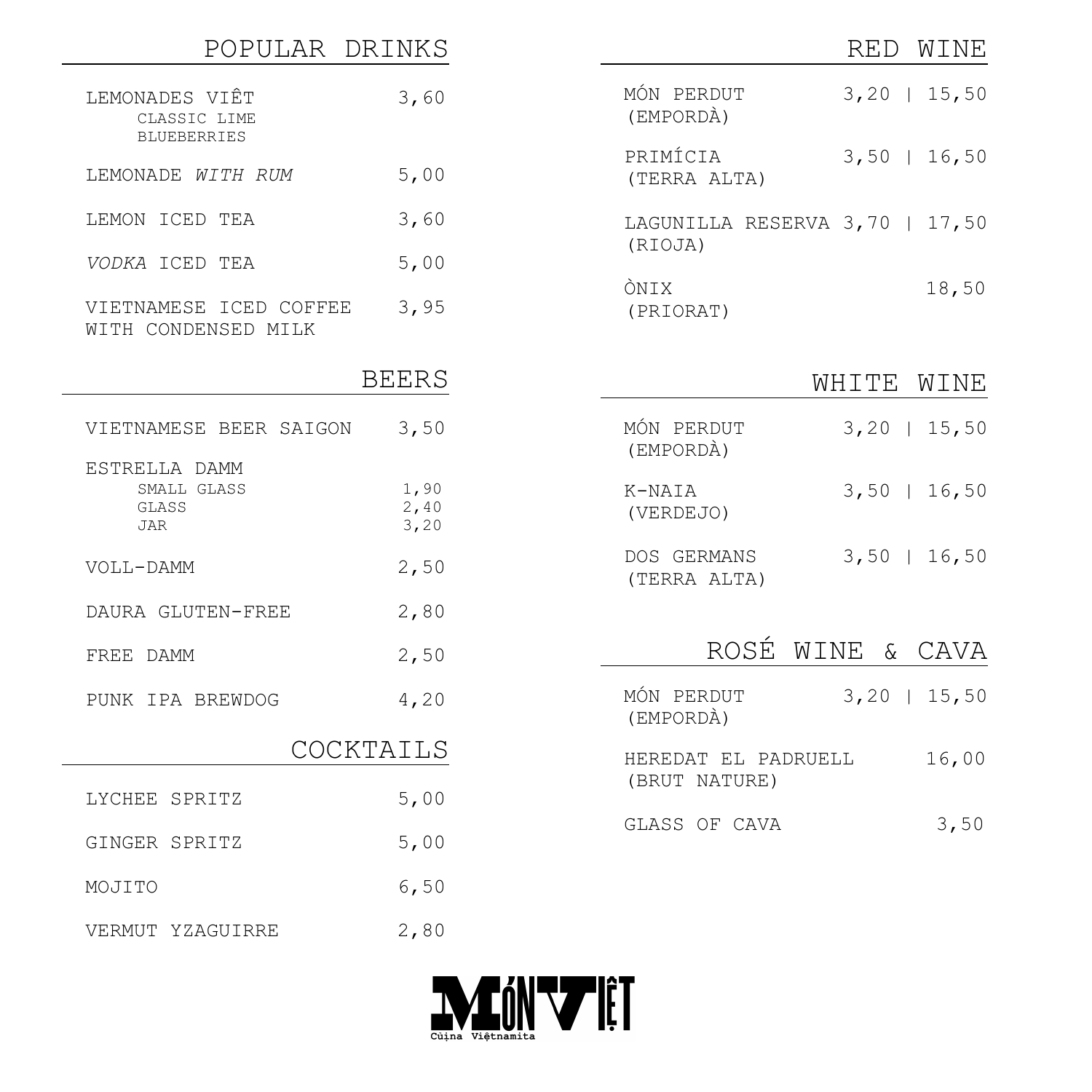| POPULAR DRINKS                                       |                      |                                           | RED<br>WINE      |
|------------------------------------------------------|----------------------|-------------------------------------------|------------------|
| LEMONADES VIÊT<br>CLASSIC LIME<br><b>BLUEBERRIES</b> | 3,60                 | MÓN PERDUT<br>(EMPORDÀ)                   | $3,20$   15,50   |
| LEMONADE WITH RUM                                    | 5,00                 | PRIMÍCIA<br>(TERRA ALTA)                  | $3,50$   16,50   |
| LEMON ICED TEA                                       | 3,60                 | LAGUNILLA RESERVA 3,70   17,50<br>(RIOJA) |                  |
| VODKA ICED TEA                                       | 5,00                 |                                           |                  |
| VIETNAMESE ICED COFFEE<br>WITH CONDENSED MILK        | 3,95                 | ÒNIX<br>(PRIORAT)                         | 18,50            |
|                                                      | <b>BEERS</b>         |                                           | WHITE<br>WINE    |
| VIETNAMESE BEER SAIGON                               | 3,50                 | MÓN PERDUT<br>(EMPORDÀ)                   | $3,20$   15,50   |
| ESTRELLA DAMM<br>SMALL GLASS<br>GLASS<br><b>JAR</b>  | 1,90<br>2,40<br>3,20 | K-NAIA<br>(VERDEJO)                       | $3,50$   16,50   |
| VOLL-DAMM                                            | 2,50                 | DOS GERMANS<br>(TERRA ALTA)               | $3,50$   16,50   |
| DAURA GLUTEN-FREE                                    | 2,80                 |                                           |                  |
| FREE DAMM                                            | 2,50                 |                                           | ROSÉ WINE & CAVA |
| PUNK IPA BREWDOG                                     | 4,20                 | MÓN PERDUT<br>(EMPORDÀ)                   | $3, 20$   15,50  |
|                                                      | COCKTAILS            | HEREDAT EL PADRUELL                       | 16,00            |
| LYCHEE SPRITZ                                        | 5,00                 | (BRUT NATURE)                             |                  |
| GINGER SPRITZ                                        | 5,00                 | GLASS OF CAVA                             | 3,50             |
| MOJITO                                               | 6,50                 |                                           |                  |
| VERMUT YZAGUIRRE                                     | 2,80                 |                                           |                  |